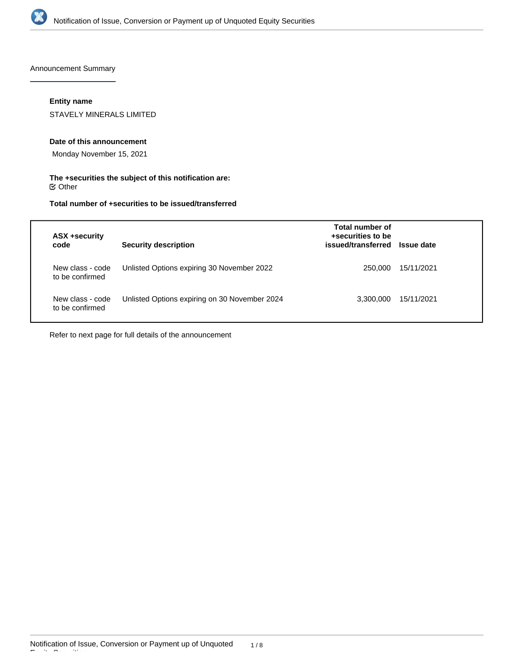

Announcement Summary

# **Entity name**

STAVELY MINERALS LIMITED

### **Date of this announcement**

Monday November 15, 2021

### **The +securities the subject of this notification are:**  $\mathfrak S$  Other

# **Total number of +securities to be issued/transferred**

| code | ASX +security                       | <b>Security description</b>                   | Total number of<br>+securities to be<br>issued/transferred Issue date |            |
|------|-------------------------------------|-----------------------------------------------|-----------------------------------------------------------------------|------------|
|      | New class - code<br>to be confirmed | Unlisted Options expiring 30 November 2022    | 250.000                                                               | 15/11/2021 |
|      | New class - code<br>to be confirmed | Unlisted Options expiring on 30 November 2024 | 3.300.000                                                             | 15/11/2021 |

Refer to next page for full details of the announcement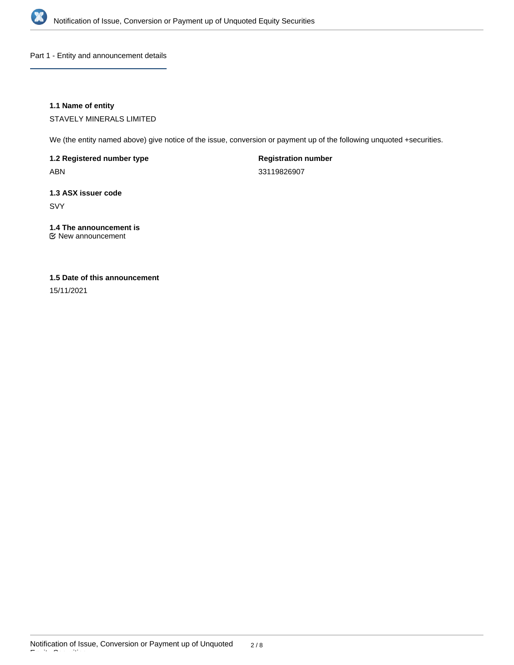

Part 1 - Entity and announcement details

# **1.1 Name of entity**

STAVELY MINERALS LIMITED

We (the entity named above) give notice of the issue, conversion or payment up of the following unquoted +securities.

**1.2 Registered number type**

ABN

**Registration number** 33119826907

**1.3 ASX issuer code**

SVY

# **1.4 The announcement is**

New announcement

# **1.5 Date of this announcement**

15/11/2021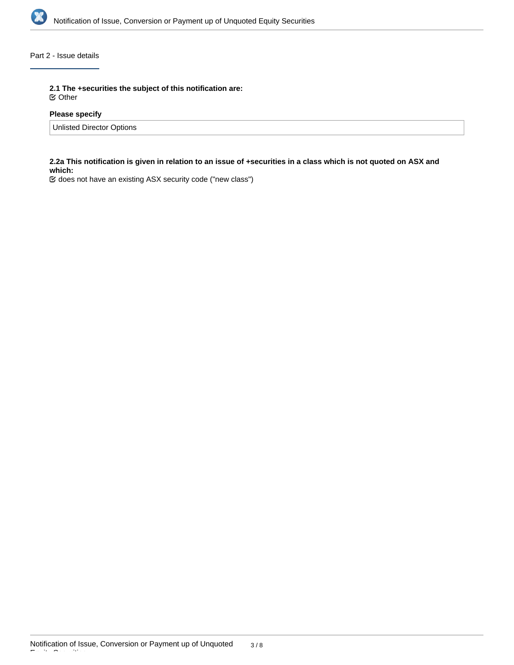

# Part 2 - Issue details

**2.1 The +securities the subject of this notification are:**

Other

# **Please specify**

Unlisted Director Options

# **2.2a This notification is given in relation to an issue of +securities in a class which is not quoted on ASX and which:**

does not have an existing ASX security code ("new class")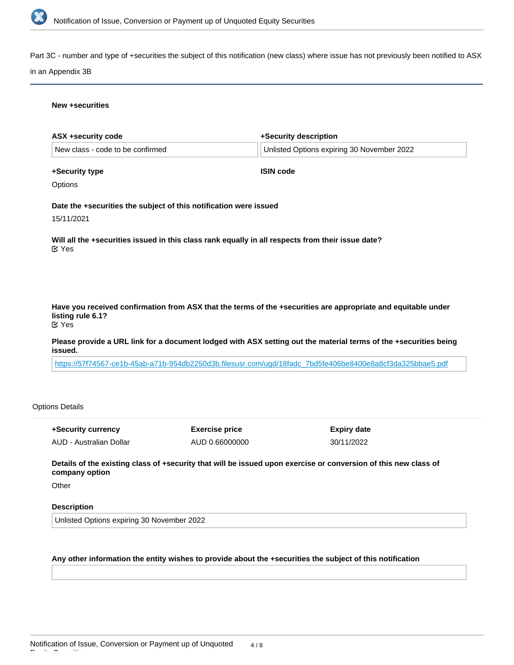

Part 3C - number and type of +securities the subject of this notification (new class) where issue has not previously been notified to ASX

### in an Appendix 3B

### **New +securities**

| ASX +security code                                                                                                                                       | +Security description                      |  |
|----------------------------------------------------------------------------------------------------------------------------------------------------------|--------------------------------------------|--|
| New class - code to be confirmed                                                                                                                         | Unlisted Options expiring 30 November 2022 |  |
| +Security type                                                                                                                                           | <b>ISIN code</b>                           |  |
| Options                                                                                                                                                  |                                            |  |
| Date the +securities the subject of this notification were issued                                                                                        |                                            |  |
| 15/11/2021                                                                                                                                               |                                            |  |
| Will all the +securities issued in this class rank equally in all respects from their issue date?<br>$\mathfrak{C}$ Yes                                  |                                            |  |
|                                                                                                                                                          |                                            |  |
| Have you received confirmation from ASX that the terms of the +securities are appropriate and equitable under<br>listing rule 6.1?<br>$\mathfrak{C}$ Yes |                                            |  |
| Please provide a URL link for a document lodged with ASX setting out the material terms of the +securities being<br>issued.                              |                                            |  |

[https://57f74567-ce1b-45ab-a71b-954db2250d3b.filesusr.com/ugd/18fadc\\_7bd5fe406be8400e8a8cf3da325bbae5.pdf](https://57f74567-ce1b-45ab-a71b-954db2250d3b.filesusr.com/ugd/18fadc_7bd5fe406be8400e8a8cf3da325bbae5.pdf)

# Options Details

| +Security currency      | <b>Exercise price</b> | Expiry date |
|-------------------------|-----------------------|-------------|
| AUD - Australian Dollar | AUD 0.66000000        | 30/11/2022  |

**Details of the existing class of +security that will be issued upon exercise or conversion of this new class of company option**

**Other** 

Equity Securities

### **Description**

Unlisted Options expiring 30 November 2022

# **Any other information the entity wishes to provide about the +securities the subject of this notification**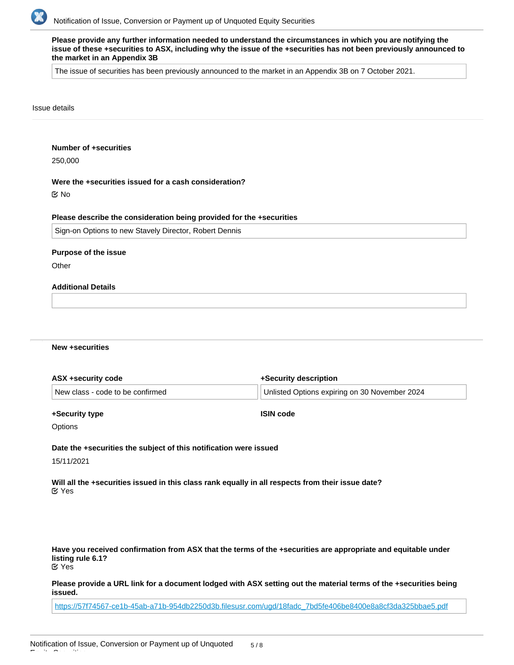

| Please provide any further information needed to understand the circumstances in which you are notifying the       |
|--------------------------------------------------------------------------------------------------------------------|
| issue of these +securities to ASX, including why the issue of the +securities has not been previously announced to |
| the market in an Appendix 3B                                                                                       |

The issue of securities has been previously announced to the market in an Appendix 3B on 7 October 2021.

### Issue details

# **Number of +securities**

250,000

#### **Were the +securities issued for a cash consideration?**

No

### **Please describe the consideration being provided for the +securities**

Sign-on Options to new Stavely Director, Robert Dennis

#### **Purpose of the issue**

**Other** 

# **Additional Details**

### **New +securities**

| ASX +security code               | +Security description                         |  |
|----------------------------------|-----------------------------------------------|--|
| New class - code to be confirmed | Unlisted Options expiring on 30 November 2024 |  |
|                                  |                                               |  |

#### **+Security type**

**ISIN code**

**Options** 

# **Date the +securities the subject of this notification were issued**

15/11/2021

Equity Securities

**Will all the +securities issued in this class rank equally in all respects from their issue date?** Yes

**Have you received confirmation from ASX that the terms of the +securities are appropriate and equitable under listing rule 6.1?** Yes

**Please provide a URL link for a document lodged with ASX setting out the material terms of the +securities being issued.**

[https://57f74567-ce1b-45ab-a71b-954db2250d3b.filesusr.com/ugd/18fadc\\_7bd5fe406be8400e8a8cf3da325bbae5.pdf](https://57f74567-ce1b-45ab-a71b-954db2250d3b.filesusr.com/ugd/18fadc_7bd5fe406be8400e8a8cf3da325bbae5.pdf)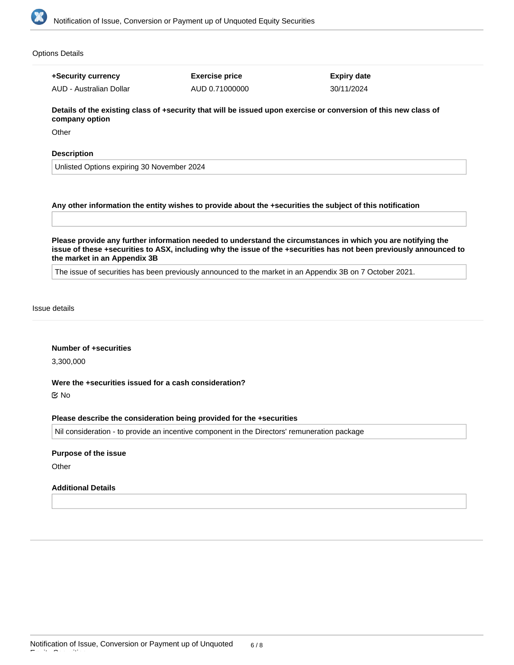

Options Details

**+Security currency** AUD - Australian Dollar **Exercise price** AUD 0.71000000 **Expiry date** 30/11/2024

**Details of the existing class of +security that will be issued upon exercise or conversion of this new class of company option**

**Other** 

### **Description**

Unlisted Options expiring 30 November 2024

### **Any other information the entity wishes to provide about the +securities the subject of this notification**

**Please provide any further information needed to understand the circumstances in which you are notifying the issue of these +securities to ASX, including why the issue of the +securities has not been previously announced to the market in an Appendix 3B**

The issue of securities has been previously announced to the market in an Appendix 3B on 7 October 2021.

Issue details

### **Number of +securities**

3,300,000

### **Were the +securities issued for a cash consideration?**

No

### **Please describe the consideration being provided for the +securities**

Nil consideration - to provide an incentive component in the Directors' remuneration package

### **Purpose of the issue**

**Other** 

### **Additional Details**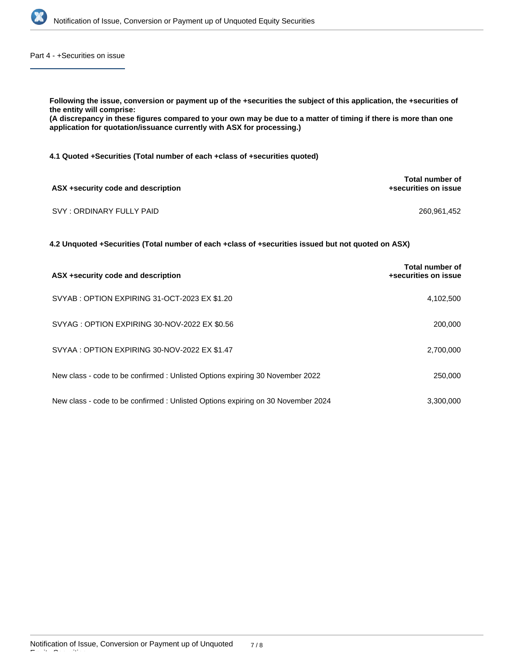

Part 4 - +Securities on issue

| Following the issue, conversion or payment up of the +securities the subject of this application, the +securities of<br>the entity will comprise:<br>(A discrepancy in these figures compared to your own may be due to a matter of timing if there is more than one<br>application for quotation/issuance currently with ASX for processing.) |                                                |
|------------------------------------------------------------------------------------------------------------------------------------------------------------------------------------------------------------------------------------------------------------------------------------------------------------------------------------------------|------------------------------------------------|
| 4.1 Quoted +Securities (Total number of each +class of +securities quoted)                                                                                                                                                                                                                                                                     |                                                |
| ASX +security code and description                                                                                                                                                                                                                                                                                                             | Total number of<br>+securities on issue        |
| SVY: ORDINARY FULLY PAID                                                                                                                                                                                                                                                                                                                       | 260,961,452                                    |
| 4.2 Unquoted +Securities (Total number of each +class of +securities issued but not quoted on ASX)                                                                                                                                                                                                                                             |                                                |
| ASX +security code and description                                                                                                                                                                                                                                                                                                             | <b>Total number of</b><br>+securities on issue |
| SVYAB: OPTION EXPIRING 31-OCT-2023 EX \$1.20                                                                                                                                                                                                                                                                                                   | 4,102,500                                      |
| SVYAG: OPTION EXPIRING 30-NOV-2022 EX \$0.56                                                                                                                                                                                                                                                                                                   | 200,000                                        |

| SVYAA : OPTION EXPIRING 30-NOV-2022 EX \$1.47 | 2,700,000 |
|-----------------------------------------------|-----------|
|                                               |           |

| New class - code to be confirmed: Unlisted Options expiring 30 November 2022    | 250,000   |
|---------------------------------------------------------------------------------|-----------|
|                                                                                 |           |
| New class - code to be confirmed: Unlisted Options expiring on 30 November 2024 | 3.300.000 |